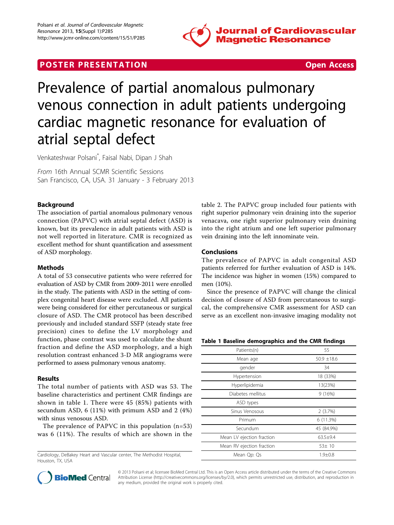

# **POSTER PRESENTATION CONSUMING THE SECOND CONSUMING THE SECOND CONSUMING THE SECOND CONSUMING THE SECOND CONSUMING THE SECOND CONSUMING THE SECOND CONSUMING THE SECOND CONSUMING THE SECOND CONSUMING THE SECOND CONSUMING**



# Prevalence of partial anomalous pulmonary venous connection in adult patients undergoing cardiac magnetic resonance for evaluation of atrial septal defect

Venkateshwar Polsani\* , Faisal Nabi, Dipan J Shah

From 16th Annual SCMR Scientific Sessions San Francisco, CA, USA. 31 January - 3 February 2013

# Background

The association of partial anomalous pulmonary venous connection (PAPVC) with atrial septal defect (ASD) is known, but its prevalence in adult patients with ASD is not well reported in literature. CMR is recognized as excellent method for shunt quantification and assessment of ASD morphology.

# Methods

A total of 53 consecutive patients who were referred for evaluation of ASD by CMR from 2009-2011 were enrolled in the study. The patients with ASD in the setting of complex congenital heart disease were excluded. All patients were being considered for either percutaneous or surgical closure of ASD. The CMR protocol has been described previously and included standard SSFP (steady state free precision) cines to define the LV morphology and function, phase contrast was used to calculate the shunt fraction and define the ASD morphology, and a high resolution contrast enhanced 3-D MR angiograms were performed to assess pulmonary venous anatomy.

# Results

The total number of patients with ASD was 53. The baseline characteristics and pertinent CMR findings are shown in table 1. There were 45 (85%) patients with secundum ASD, 6 (11%) with primum ASD and 2 (4%) with sinus venosous ASD.

The prevalence of PAPVC in this population (n=53) was 6 (11%). The results of which are shown in the

Cardiology, DeBakey Heart and Vascular center, The Methodist Hospital, Houston, TX, USA

table [2.](#page-1-0) The PAPVC group included four patients with right superior pulmonary vein draining into the superior venacava, one right superior pulmonary vein draining into the right atrium and one left superior pulmonary vein draining into the left innominate vein.

# Conclusions

The prevalence of PAPVC in adult congenital ASD patients referred for further evaluation of ASD is 14%. The incidence was higher in women (15%) compared to men (10%).

Since the presence of PAPVC will change the clinical decision of closure of ASD from percutaneous to surgical, the comprehensive CMR assessment for ASD can serve as an excellent non-invasive imaging modality not

#### Table 1 Baseline demographics and the CMR findings

| Patients(n)               | 55              |
|---------------------------|-----------------|
| Mean age                  | $50.9 \pm 18.6$ |
| gender                    | 34              |
| Hypertension              | 18 (33%)        |
| Hyperlipidemia            | 13(23%)         |
| Diabetes mellitus         | 9(16%)          |
| ASD types                 |                 |
| Sinus Venosous            | 2(3.7%)         |
| Primum                    | 6(11.3%)        |
| Secundum                  | 45 (84.9%)      |
| Mean LV ejection fraction | $63.5 + 9.4$    |
| Mean RV ejection fraction | 53±10           |
| Mean Qp: Qs               | $1.9 + 0.8$     |



© 2013 Polsani et al; licensee BioMed Central Ltd. This is an Open Access article distributed under the terms of the Creative Commons Attribution License [\(http://creativecommons.org/licenses/by/2.0](http://creativecommons.org/licenses/by/2.0)), which permits unrestricted use, distribution, and reproduction in any medium, provided the original work is properly cited.